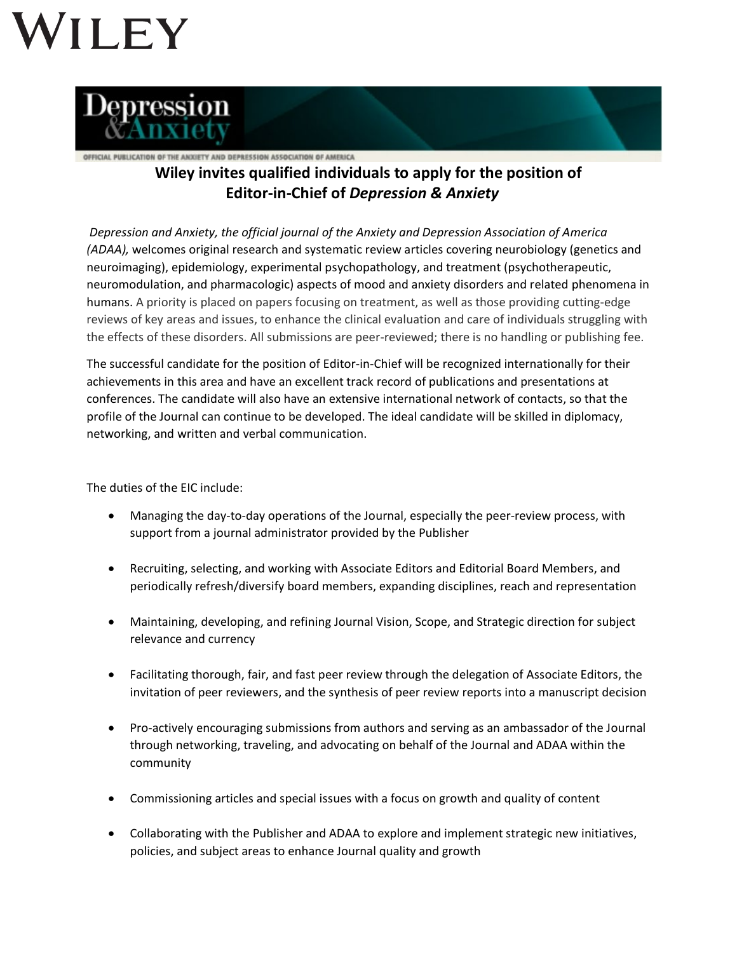## VILEY



## OFFICIAL PUBLICATION OF THE ANXIETY AND DEPRESSION ASSOCIATION OF AMERICA **Wiley invites qualified individuals to apply for the position of Editor-in-Chief of** *Depression & Anxiety*

*Depression and Anxiety, the official journal of the Anxiety and Depression Association of America (ADAA),* welcomes original research and systematic review articles covering neurobiology (genetics and neuroimaging), epidemiology, experimental psychopathology, and treatment (psychotherapeutic, neuromodulation, and pharmacologic) aspects of mood and anxiety disorders and related phenomena in humans. A priority is placed on papers focusing on treatment, as well as those providing cutting-edge reviews of key areas and issues, to enhance the clinical evaluation and care of individuals struggling with the effects of these disorders. All submissions are peer-reviewed; there is no handling or publishing fee.

The successful candidate for the position of Editor-in-Chief will be recognized internationally for their achievements in this area and have an excellent track record of publications and presentations at conferences. The candidate will also have an extensive international network of contacts, so that the profile of the Journal can continue to be developed. The ideal candidate will be skilled in diplomacy, networking, and written and verbal communication.

The duties of the EIC include:

- Managing the day-to-day operations of the Journal, especially the peer-review process, with support from a journal administrator provided by the Publisher
- Recruiting, selecting, and working with Associate Editors and Editorial Board Members, and periodically refresh/diversify board members, expanding disciplines, reach and representation
- Maintaining, developing, and refining Journal Vision, Scope, and Strategic direction for subject relevance and currency
- Facilitating thorough, fair, and fast peer review through the delegation of Associate Editors, the invitation of peer reviewers, and the synthesis of peer review reports into a manuscript decision
- Pro-actively encouraging submissions from authors and serving as an ambassador of the Journal through networking, traveling, and advocating on behalf of the Journal and ADAA within the community
- Commissioning articles and special issues with a focus on growth and quality of content
- Collaborating with the Publisher and ADAA to explore and implement strategic new initiatives, policies, and subject areas to enhance Journal quality and growth